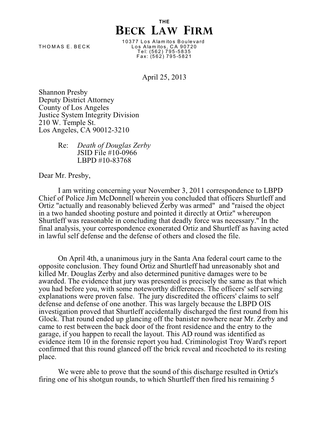## **THE BECK LAW FIRM**

10377 Los Alamitos Boulevard T H O M A S E . B E C K L o s A la m ito s , C A 9 0 7 2 0 T e l: (5 6 2 ) 7 9 5 -5 8 3 5 F a x : (5 6 2 ) 7 9 5 -5 8 2 1

April 25, 2013

Shannon Presby Deputy District Attorney County of Los Angeles Justice System Integrity Division 210 W. Temple St. Los Angeles, CA 90012-3210

> Re: *Death of Douglas Zerby* JSID File #10-0966 LBPD #10-83768

Dear Mr. Presby,

I am writing concerning your November 3, 2011 correspondence to LBPD Chief of Police Jim McDonnell wherein you concluded that officers Shurtleff and Ortiz "actually and reasonably believed Zerby was armed" and "raised the object in a two handed shooting posture and pointed it directly at Ortiz" whereupon Shurtleff was reasonable in concluding that deadly force was necessary." In the final analysis, your correspondence exonerated Ortiz and Shurtleff as having acted in lawful self defense and the defense of others and closed the file.

On April 4th, a unanimous jury in the Santa Ana federal court came to the opposite conclusion. They found Ortiz and Shurtleff had unreasonably shot and killed Mr. Douglas Zerby and also determined punitive damages were to be awarded. The evidence that jury was presented is precisely the same as that which you had before you, with some noteworthy differences. The officers' self serving explanations were proven false. The jury discredited the officers' claims to self defense and defense of one another. This was largely because the LBPD OIS investigation proved that Shurtleff accidentally discharged the first round from his Glock. That round ended up glancing off the banister nowhere near Mr. Zerby and came to rest between the back door of the front residence and the entry to the garage, if you happen to recall the layout. This AD round was identified as evidence item 10 in the forensic report you had. Criminologist Troy Ward's report confirmed that this round glanced off the brick reveal and ricocheted to its resting place.

We were able to prove that the sound of this discharge resulted in Ortiz's firing one of his shotgun rounds, to which Shurtleff then fired his remaining 5